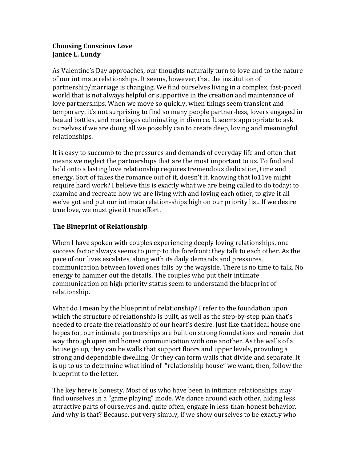## **Choosing Conscious Love Janice L. Lundy**

As Valentine's Day approaches, our thoughts naturally turn to love and to the nature of our intimate relationships. It seems, however, that the institution of partnership/marriage is changing. We find ourselves living in a complex, fast-paced world that is not always helpful or supportive in the creation and maintenance of love partnerships. When we move so quickly, when things seem transient and temporary, it's not surprising to find so many people partner-less, lovers engaged in heated battles, and marriages culminating in divorce. It seems appropriate to ask ourselves if we are doing all we possibly can to create deep, loving and meaningful relationships. 

It is easy to succumb to the pressures and demands of everyday life and often that means we neglect the partnerships that are the most important to us. To find and hold onto a lasting love relationship requires tremendous dedication, time and energy. Sort of takes the romance out of it, doesn't it, knowing that lo11ve might require hard work? I believe this is exactly what we are being called to do today: to examine and recreate how we are living with and loving each other, to give it all we've got and put our intimate relation-ships high on our priority list. If we desire true love, we must give it true effort.

## **The Blueprint of Relationship**

When I have spoken with couples experiencing deeply loving relationships, one success factor always seems to jump to the forefront: they talk to each other. As the pace of our lives escalates, along with its daily demands and pressures, communication between loved ones falls by the wayside. There is no time to talk. No energy to hammer out the details. The couples who put their intimate communication on high priority status seem to understand the blueprint of relationship.

What do I mean by the blueprint of relationship? I refer to the foundation upon which the structure of relationship is built, as well as the step-by-step plan that's needed to create the relationship of our heart's desire. Just like that ideal house one hopes for, our intimate partnerships are built on strong foundations and remain that way through open and honest communication with one another. As the walls of a house go up, they can be walls that support floors and upper levels, providing a strong and dependable dwelling. Or they can form walls that divide and separate. It is up to us to determine what kind of "relationship house" we want, then, follow the blueprint to the letter.

The key here is honesty. Most of us who have been in intimate relationships may find ourselves in a "game playing" mode. We dance around each other, hiding less attractive parts of ourselves and, quite often, engage in less-than-honest behavior. And why is that? Because, put very simply, if we show ourselves to be exactly who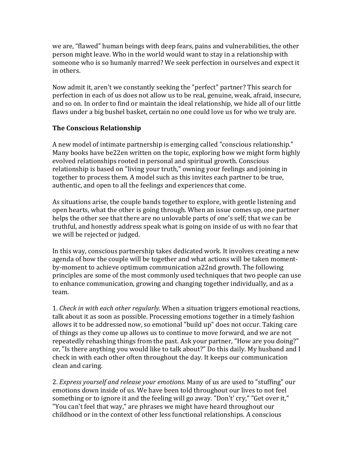we are, "flawed" human beings with deep fears, pains and vulnerabilities, the other person might leave. Who in the world would want to stay in a relationship with someone who is so humanly marred? We seek perfection in ourselves and expect it in others.

Now admit it, aren't we constantly seeking the "perfect" partner? This search for perfection in each of us does not allow us to be real, genuine, weak, afraid, insecure, and so on. In order to find or maintain the ideal relationship, we hide all of our little flaws under a big bushel basket, certain no one could love us for who we truly are.

## **The Conscious Relationship**

A new model of intimate partnership is emerging called "conscious relationship." Many books have be22en written on the topic, exploring how we might form highly evolved relationships rooted in personal and spiritual growth. Conscious relationship is based on "living your truth," owning your feelings and joining in together to process them. A model such as this invites each partner to be true, authentic, and open to all the feelings and experiences that come.

As situations arise, the couple bands together to explore, with gentle listening and open hearts, what the other is going through. When an issue comes up, one partner helps the other see that there are no unlovable parts of one's self; that we can be truthful, and honestly address speak what is going on inside of us with no fear that we will be rejected or judged.

In this way, conscious partnership takes dedicated work. It involves creating a new agenda of how the couple will be together and what actions will be taken momentby-moment to achieve optimum communication a22nd growth. The following principles are some of the most commonly used techniques that two people can use to enhance communication, growing and changing together individually, and as a team.

1. *Check in with each other regularly.* When a situation triggers emotional reactions, talk about it as soon as possible. Processing emotions together in a timely fashion allows it to be addressed now, so emotional "build up" does not occur. Taking care of things as they come up allows us to continue to move forward, and we are not repeatedly rehashing things from the past. Ask your partner, "How are you doing?" or, "Is there anything you would like to talk about?" Do this daily. My husband and I check in with each other often throughout the day. It keeps our communication clean and caring.

2. *Express yourself and release your emotions.* Many of us are used to "stuffing" our emotions down inside of us. We have been told throughout our lives to not feel something or to ignore it and the feeling will go away. "Don't' cry," "Get over it," "You can't feel that way," are phrases we might have heard throughout our childhood or in the context of other less functional relationships. A conscious